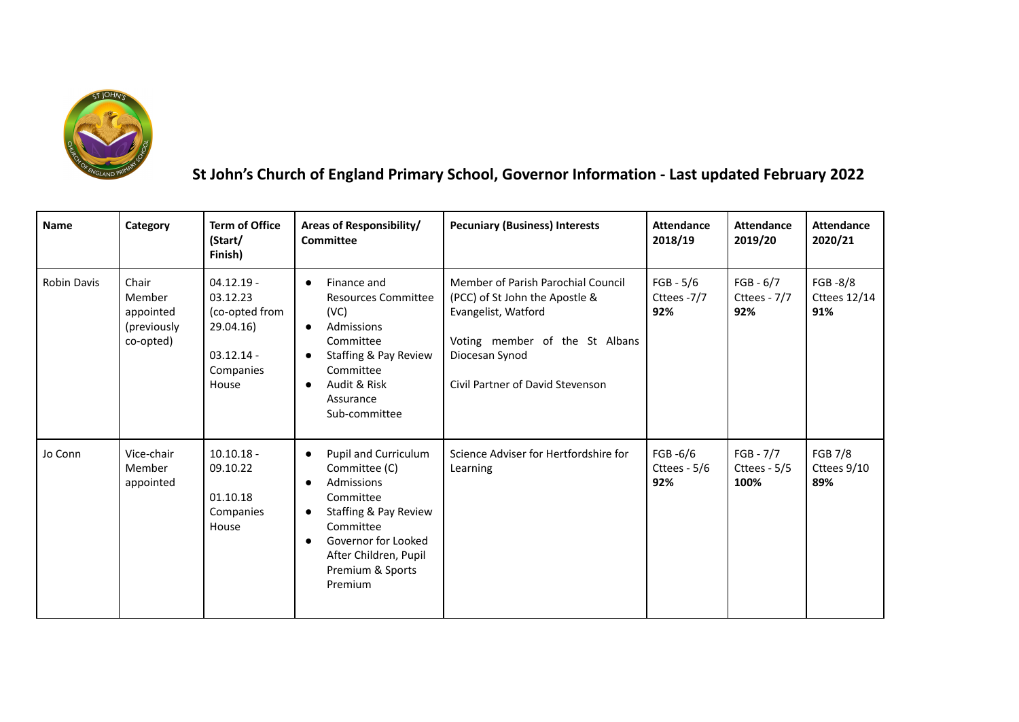

## **St John's Church of England Primary School, Governor Information - Last updated February 2022**

| <b>Name</b>        | Category                                                 | <b>Term of Office</b><br>(Start/<br>Finish)                                                   | Areas of Responsibility/<br><b>Committee</b>                                                                                                                                                                                              | <b>Pecuniary (Business) Interests</b>                                                                                                                                               | <b>Attendance</b><br>2018/19      | <b>Attendance</b><br>2019/20        | <b>Attendance</b><br>2020/21          |
|--------------------|----------------------------------------------------------|-----------------------------------------------------------------------------------------------|-------------------------------------------------------------------------------------------------------------------------------------------------------------------------------------------------------------------------------------------|-------------------------------------------------------------------------------------------------------------------------------------------------------------------------------------|-----------------------------------|-------------------------------------|---------------------------------------|
| <b>Robin Davis</b> | Chair<br>Member<br>appointed<br>(previously<br>co-opted) | $04.12.19 -$<br>03.12.23<br>(co-opted from<br>29.04.16)<br>$03.12.14 -$<br>Companies<br>House | Finance and<br>$\bullet$<br><b>Resources Committee</b><br>(VC)<br>Admissions<br>$\bullet$<br>Committee<br>Staffing & Pay Review<br>$\bullet$<br>Committee<br>Audit & Risk<br>$\bullet$<br>Assurance<br>Sub-committee                      | Member of Parish Parochial Council<br>(PCC) of St John the Apostle &<br>Evangelist, Watford<br>Voting member of the St Albans<br>Diocesan Synod<br>Civil Partner of David Stevenson | $FGB - 5/6$<br>Cttees -7/7<br>92% | $FGB - 6/7$<br>Cttees - 7/7<br>92%  | FGB-8/8<br><b>Cttees 12/14</b><br>91% |
| Jo Conn            | Vice-chair<br>Member<br>appointed                        | $10.10.18 -$<br>09.10.22<br>01.10.18<br>Companies<br>House                                    | Pupil and Curriculum<br>$\bullet$<br>Committee (C)<br>Admissions<br>$\bullet$<br>Committee<br>Staffing & Pay Review<br>$\bullet$<br>Committee<br>Governor for Looked<br>$\bullet$<br>After Children, Pupil<br>Premium & Sports<br>Premium | Science Adviser for Hertfordshire for<br>Learning                                                                                                                                   | FGB -6/6<br>Cttees - $5/6$<br>92% | $FGB - 7/7$<br>Cttees - 5/5<br>100% | <b>FGB 7/8</b><br>Cttees 9/10<br>89%  |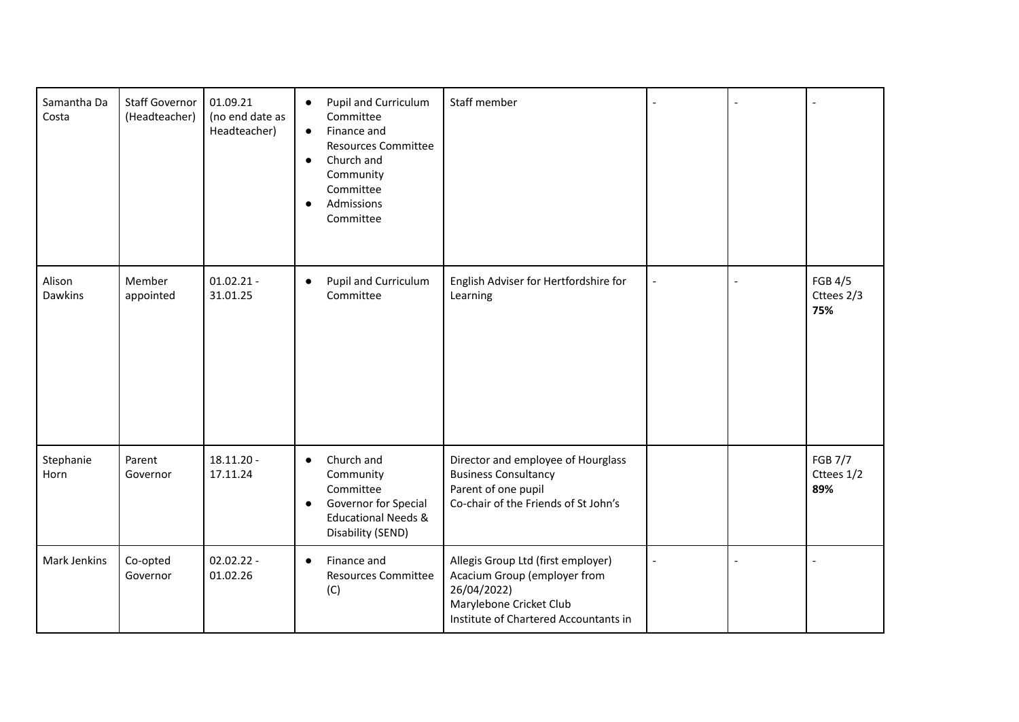| Samantha Da<br>Costa | <b>Staff Governor</b><br>(Headteacher) | 01.09.21<br>(no end date as<br>Headteacher) | Pupil and Curriculum<br>$\bullet$<br>Committee<br>Finance and<br>$\bullet$<br><b>Resources Committee</b><br>Church and<br>$\bullet$<br>Community<br>Committee<br>Admissions<br>$\bullet$<br>Committee | Staff member                                                                                                                                          |                          |                                     |
|----------------------|----------------------------------------|---------------------------------------------|-------------------------------------------------------------------------------------------------------------------------------------------------------------------------------------------------------|-------------------------------------------------------------------------------------------------------------------------------------------------------|--------------------------|-------------------------------------|
| Alison<br>Dawkins    | Member<br>appointed                    | $01.02.21 -$<br>31.01.25                    | Pupil and Curriculum<br>$\bullet$<br>Committee                                                                                                                                                        | English Adviser for Hertfordshire for<br>Learning                                                                                                     | $\overline{\phantom{a}}$ | <b>FGB 4/5</b><br>Cttees 2/3<br>75% |
| Stephanie<br>Horn    | Parent<br>Governor                     | $18.11.20 -$<br>17.11.24                    | Church and<br>$\bullet$<br>Community<br>Committee<br>Governor for Special<br>$\bullet$<br><b>Educational Needs &amp;</b><br>Disability (SEND)                                                         | Director and employee of Hourglass<br><b>Business Consultancy</b><br>Parent of one pupil<br>Co-chair of the Friends of St John's                      |                          | <b>FGB 7/7</b><br>Cttees 1/2<br>89% |
| Mark Jenkins         | Co-opted<br>Governor                   | $02.02.22 -$<br>01.02.26                    | Finance and<br>$\bullet$<br><b>Resources Committee</b><br>(C)                                                                                                                                         | Allegis Group Ltd (first employer)<br>Acacium Group (employer from<br>26/04/2022)<br>Marylebone Cricket Club<br>Institute of Chartered Accountants in |                          |                                     |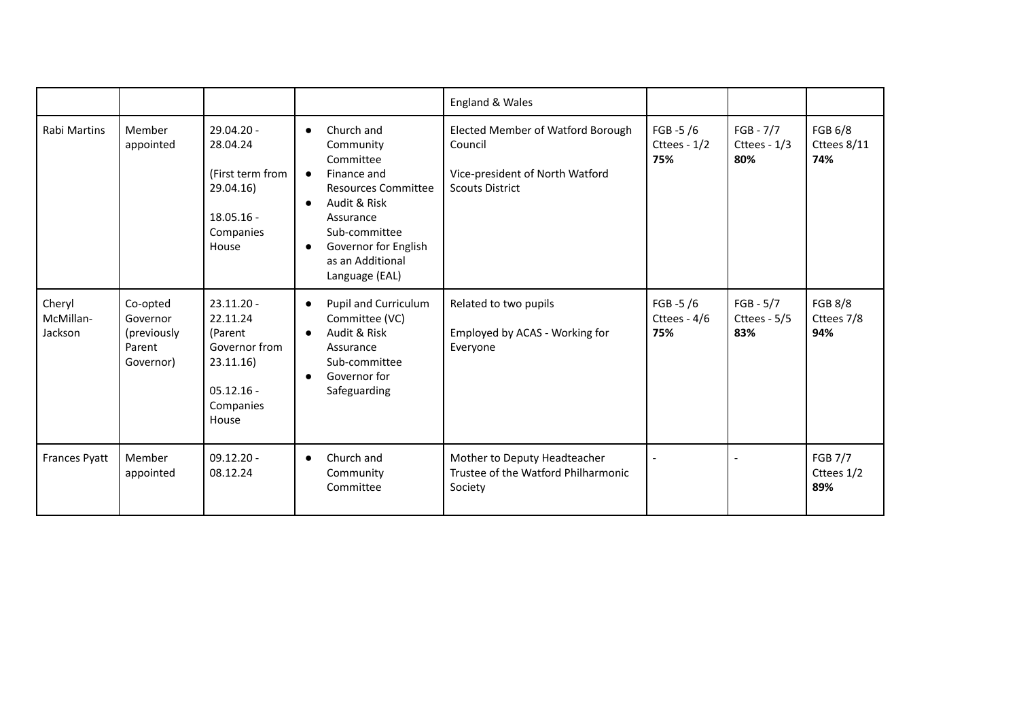|                                |                                                            |                                                                                                        |                                                                                                                                                                                                                                                   | England & Wales                                                                                           |                                     |                                    |                                     |
|--------------------------------|------------------------------------------------------------|--------------------------------------------------------------------------------------------------------|---------------------------------------------------------------------------------------------------------------------------------------------------------------------------------------------------------------------------------------------------|-----------------------------------------------------------------------------------------------------------|-------------------------------------|------------------------------------|-------------------------------------|
| <b>Rabi Martins</b>            | Member<br>appointed                                        | 29.04.20 -<br>28.04.24<br>(First term from<br>29.04.16)<br>$18.05.16 -$<br>Companies<br>House          | Church and<br>$\bullet$<br>Community<br>Committee<br>Finance and<br>$\bullet$<br><b>Resources Committee</b><br>Audit & Risk<br>$\bullet$<br>Assurance<br>Sub-committee<br>Governor for English<br>$\bullet$<br>as an Additional<br>Language (EAL) | Elected Member of Watford Borough<br>Council<br>Vice-president of North Watford<br><b>Scouts District</b> | FGB $-5/6$<br>Cttees - 1/2<br>75%   | $FGB - 7/7$<br>Cttees - 1/3<br>80% | FGB 6/8<br>Cttees 8/11<br>74%       |
| Cheryl<br>McMillan-<br>Jackson | Co-opted<br>Governor<br>(previously<br>Parent<br>Governor) | $23.11.20 -$<br>22.11.24<br>(Parent<br>Governor from<br>23.11.16<br>$05.12.16 -$<br>Companies<br>House | Pupil and Curriculum<br>$\bullet$<br>Committee (VC)<br>Audit & Risk<br>$\bullet$<br>Assurance<br>Sub-committee<br>Governor for<br>$\bullet$<br>Safeguarding                                                                                       | Related to two pupils<br>Employed by ACAS - Working for<br>Everyone                                       | FGB $-5/6$<br>Cttees - $4/6$<br>75% | $FGB - 5/7$<br>Cttees - 5/5<br>83% | <b>FGB 8/8</b><br>Cttees 7/8<br>94% |
| <b>Frances Pyatt</b>           | Member<br>appointed                                        | $09.12.20 -$<br>08.12.24                                                                               | Church and<br>$\bullet$<br>Community<br>Committee                                                                                                                                                                                                 | Mother to Deputy Headteacher<br>Trustee of the Watford Philharmonic<br>Society                            |                                     |                                    | <b>FGB 7/7</b><br>Cttees 1/2<br>89% |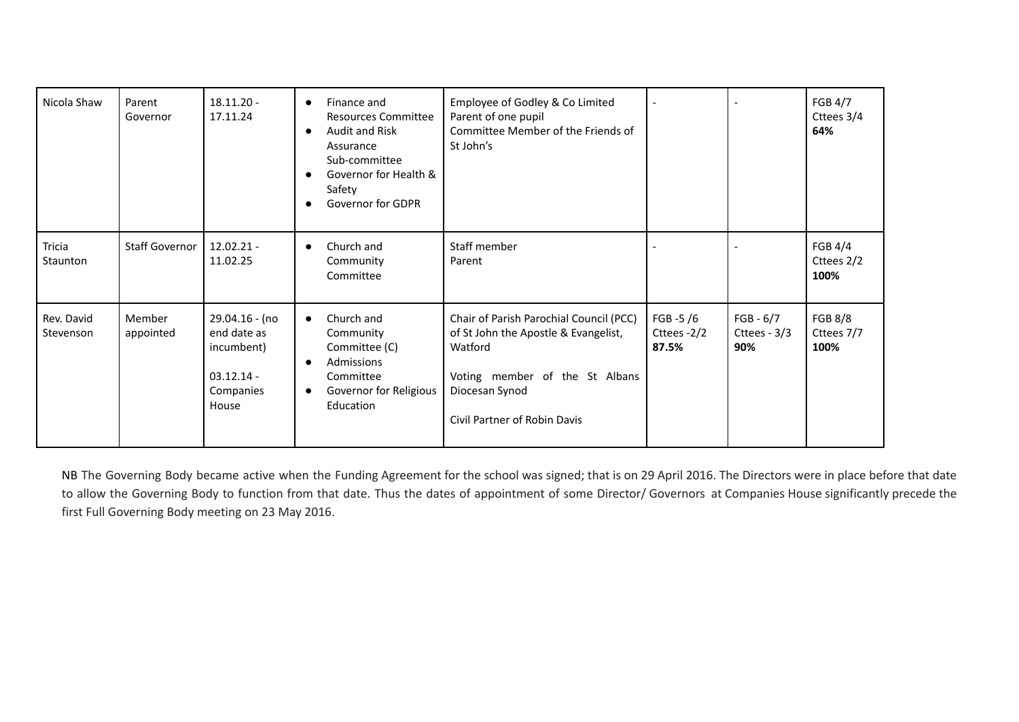| Nicola Shaw             | Parent<br>Governor    | $18.11.20 -$<br>17.11.24                                                          | Finance and<br>$\bullet$<br><b>Resources Committee</b><br>Audit and Risk<br>Assurance<br>Sub-committee<br>Governor for Health &<br>Safety<br><b>Governor for GDPR</b> | Employee of Godley & Co Limited<br>Parent of one pupil<br>Committee Member of the Friends of<br>St John's                                                                      | $\overline{\phantom{0}}$           | $\blacksquare$                       | <b>FGB 4/7</b><br>Cttees 3/4<br>64%  |
|-------------------------|-----------------------|-----------------------------------------------------------------------------------|-----------------------------------------------------------------------------------------------------------------------------------------------------------------------|--------------------------------------------------------------------------------------------------------------------------------------------------------------------------------|------------------------------------|--------------------------------------|--------------------------------------|
| Tricia<br>Staunton      | <b>Staff Governor</b> | $12.02.21 -$<br>11.02.25                                                          | Church and<br>Community<br>Committee                                                                                                                                  | Staff member<br>Parent                                                                                                                                                         |                                    |                                      | FGB 4/4<br>Cttees 2/2<br>100%        |
| Rev. David<br>Stevenson | Member<br>appointed   | 29.04.16 - (no<br>end date as<br>incumbent)<br>$03.12.14 -$<br>Companies<br>House | Church and<br>$\bullet$<br>Community<br>Committee (C)<br>Admissions<br>Committee<br>Governor for Religious<br>Education                                               | Chair of Parish Parochial Council (PCC)<br>of St John the Apostle & Evangelist,<br>Watford<br>Voting member of the St Albans<br>Diocesan Synod<br>Civil Partner of Robin Davis | FGB $-5/6$<br>Cttees -2/2<br>87.5% | $FGB - 6/7$<br>Cttees - $3/3$<br>90% | <b>FGB 8/8</b><br>Cttees 7/7<br>100% |

NB The Governing Body became active when the Funding Agreement for the school was signed; that is on 29 April 2016. The Directors were in place before that date to allow the Governing Body to function from that date. Thus the dates of appointment of some Director/ Governors at Companies House significantly precede the first Full Governing Body meeting on 23 May 2016.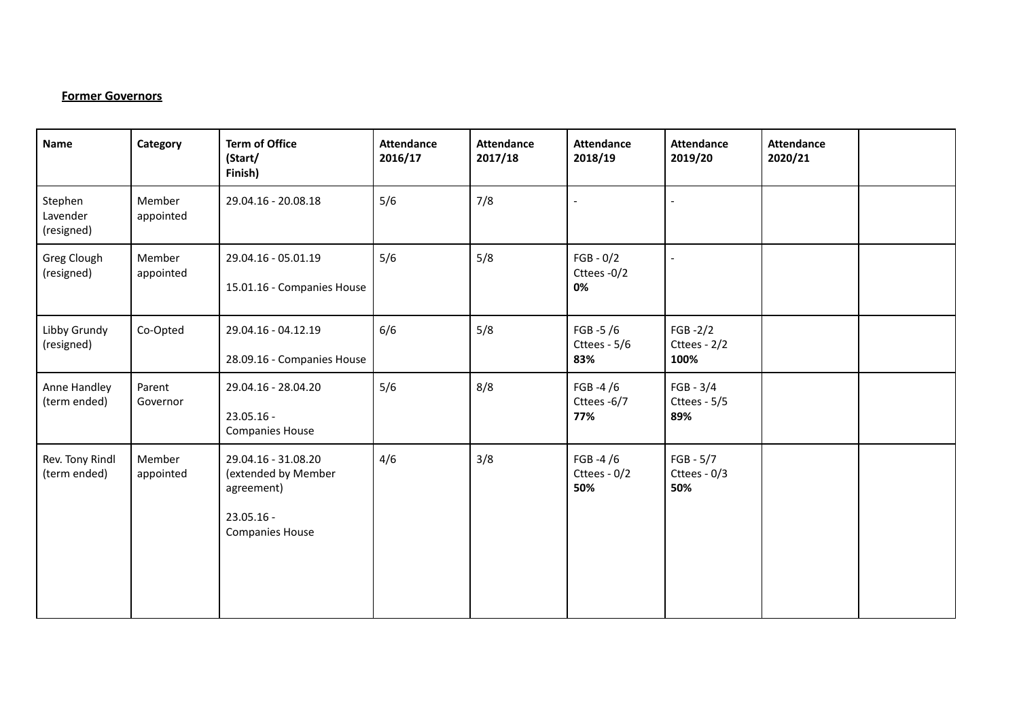## **Former Governors**

| Name                              | Category            | <b>Term of Office</b><br>(Start/<br>Finish)                                                        | <b>Attendance</b><br>2016/17 | <b>Attendance</b><br>2017/18 | <b>Attendance</b><br>2018/19       | <b>Attendance</b><br>2019/20        | <b>Attendance</b><br>2020/21 |  |
|-----------------------------------|---------------------|----------------------------------------------------------------------------------------------------|------------------------------|------------------------------|------------------------------------|-------------------------------------|------------------------------|--|
| Stephen<br>Lavender<br>(resigned) | Member<br>appointed | 29.04.16 - 20.08.18                                                                                | 5/6                          | 7/8                          |                                    |                                     |                              |  |
| Greg Clough<br>(resigned)         | Member<br>appointed | 29.04.16 - 05.01.19<br>15.01.16 - Companies House                                                  | 5/6                          | 5/8                          | $FGB - 0/2$<br>Cttees -0/2<br>0%   |                                     |                              |  |
| Libby Grundy<br>(resigned)        | Co-Opted            | 29.04.16 - 04.12.19<br>28.09.16 - Companies House                                                  | 6/6                          | 5/8                          | FGB -5 $/6$<br>Cttees - 5/6<br>83% | $FGB - 2/2$<br>Cttees - 2/2<br>100% |                              |  |
| Anne Handley<br>(term ended)      | Parent<br>Governor  | 29.04.16 - 28.04.20<br>23.05.16 -<br><b>Companies House</b>                                        | 5/6                          | 8/8                          | FGB -4 $/6$<br>Cttees -6/7<br>77%  | $FGB - 3/4$<br>Cttees - 5/5<br>89%  |                              |  |
| Rev. Tony Rindl<br>(term ended)   | Member<br>appointed | 29.04.16 - 31.08.20<br>(extended by Member<br>agreement)<br>$23.05.16 -$<br><b>Companies House</b> | 4/6                          | 3/8                          | FGB -4 $/6$<br>Cttees - 0/2<br>50% | $FGB - 5/7$<br>Cttees - 0/3<br>50%  |                              |  |